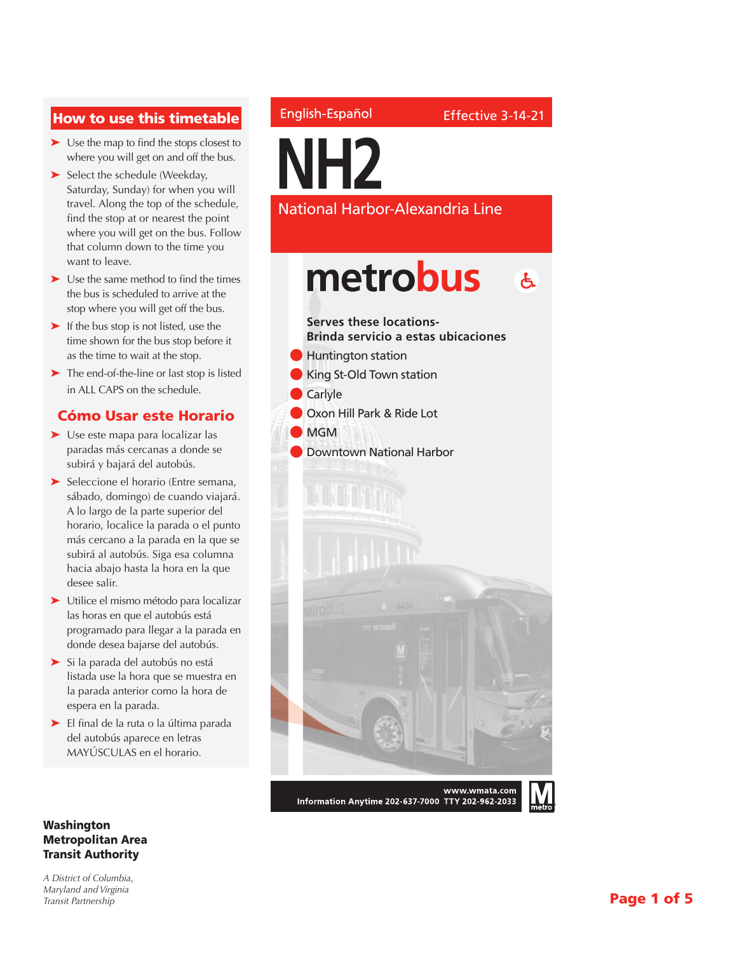### How to use this timetable

- ➤ Use the map to find the stops closest to where you will get on and off the bus.
- ➤ Select the schedule (Weekday, Saturday, Sunday) for when you will travel. Along the top of the schedule, find the stop at or nearest the point where you will get on the bus. Follow that column down to the time you want to leave.
- ➤ Use the same method to find the times the bus is scheduled to arrive at the stop where you will get off the bus.
- ➤ If the bus stop is not listed, use the time shown for the bus stop before it as the time to wait at the stop.
- ➤ The end-of-the-line or last stop is listed in ALL CAPS on the schedule.

#### Cómo Usar este Horario

- ➤ Use este mapa para localizar las paradas más cercanas a donde se subirá y bajará del autobús.
- ➤ Seleccione el horario (Entre semana, sábado, domingo) de cuando viajará. A lo largo de la parte superior del horario, localice la parada o el punto más cercano a la parada en la que se subirá al autobús. Siga esa columna hacia abajo hasta la hora en la que desee salir.
- ➤ Utilice el mismo método para localizar las horas en que el autobús está programado para llegar a la parada en donde desea bajarse del autobús.
- ➤ Si la parada del autobús no está listada use la hora que se muestra en la parada anterior como la hora de espera en la parada.
- ➤ El final de la ruta o la última parada del autobús aparece en letras MAYÚSCULAS en el horario.

#### Washington Metropolitan Area Transit Authority

*A District of Columbia, Maryland and Virginia Transit Partnership*

### English-Español

**NH2**

National Harbor-Alexandria Line

### metrobus  $\mathbf{A}$



Information Anytime 202-637-7000 TTY 202-962-2033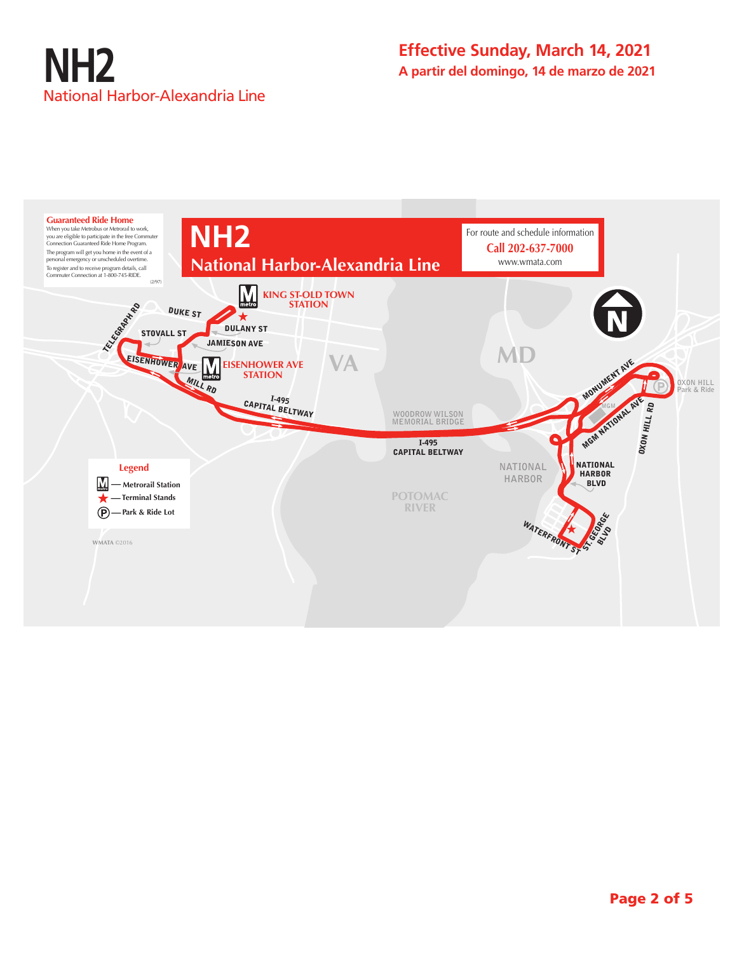

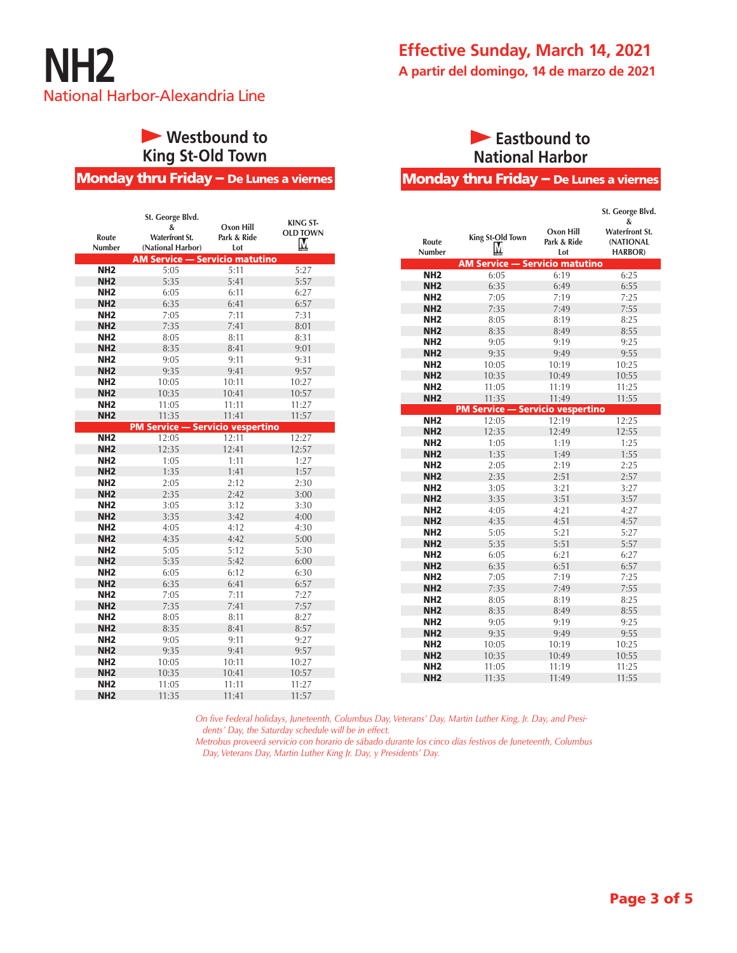

### **• Westbound to King St-Old Town**

Monday thru Friday – De Lunes a viernes

|                 | St. George Blvd.                        |             | <b>KING ST-</b> |
|-----------------|-----------------------------------------|-------------|-----------------|
|                 | &                                       | Oxon Hill   | <b>OLD TOWN</b> |
| Route           | <b>Waterfront St.</b>                   | Park & Ride |                 |
| Number          | (National Harbor)                       | Lot         | М               |
|                 | <b>AM Service - Servicio matutino</b>   |             |                 |
| NH <sub>2</sub> | 5:05                                    | 5:11        | 5:27            |
| NH <sub>2</sub> | 5:35                                    | 5:41        | 5:57            |
| NH <sub>2</sub> | 6:05                                    | 6:11        | 6:27            |
| NH <sub>2</sub> | 6:35                                    | 6:41        | 6:57            |
| NH <sub>2</sub> | 7:05                                    | 7:11        | 7:31            |
| NH <sub>2</sub> | 7:35                                    | 7:41        | 8:01            |
| NH <sub>2</sub> | 8:05                                    | 8:11        | 8:31            |
| NH <sub>2</sub> | 8:35                                    | 8:41        | 9:01            |
| NH <sub>2</sub> | 9:05                                    | 9:11        | 9:31            |
| NH <sub>2</sub> | 9:35                                    | 9:41        | 9:57            |
| NH <sub>2</sub> | 10:05                                   | 10:11       | 10:27           |
| NH <sub>2</sub> | 10:35                                   | 10:41       | 10:57           |
| NH <sub>2</sub> | 11:05                                   | 11:11       | 11:27           |
| NH <sub>2</sub> | 11:35                                   | 11:41       | 11:57           |
|                 | <b>PM Service - Servicio vespertino</b> |             |                 |
| NH <sub>2</sub> | 12:05                                   | 12:11       | 12:27           |
| NH <sub>2</sub> | 12:35                                   | 12:41       | 12:57           |
| NH <sub>2</sub> | 1:05                                    | 1:11        | 1:27            |
| NH <sub>2</sub> | 1:35                                    | 1:41        | 1:57            |
| NH <sub>2</sub> | 2:05                                    | 2:12        | 2:30            |
| NH <sub>2</sub> | 2:35                                    | 2:42        | 3:00            |
| NH <sub>2</sub> | 3:05                                    | 3:12        | 3:30            |
| NH <sub>2</sub> | 3:35                                    | 3:42        | 4:00            |
| NH <sub>2</sub> | 4:05                                    | 4:12        | 4:30            |
| NH <sub>2</sub> | 4:35                                    | 4:42        | 5:00            |
| NH <sub>2</sub> | 5:05                                    | 5:12        | 5:30            |
| NH <sub>2</sub> | 5:35                                    | 5:42        | 6:00            |
| NH <sub>2</sub> | 6:05                                    | 6:12        | 6:30            |
| NH <sub>2</sub> | 6:35                                    | 6:41        | 6:57            |
| NH <sub>2</sub> | 7:05                                    | 7:11        | 7:27            |
| NH <sub>2</sub> | 7:35                                    | 7:41        | 7:57            |
| NH <sub>2</sub> | 8:05                                    | 8:11        | 8:27            |
| NH <sub>2</sub> | 8:35                                    | 8:41        | 8:57            |
| NH <sub>2</sub> | 9:05                                    | 9:11        | 9:27            |
| NH <sub>2</sub> | 9:35                                    | 9:41        | 9:57            |
| NH <sub>2</sub> | 10:05                                   | 10:11       | 10:27           |
| NH <sub>2</sub> | 10:35                                   | 10:41       | 10:57           |
| NH <sub>2</sub> | 11:05                                   | 11:11       | 11:27           |
| NH <sub>2</sub> | 11:35                                   | 11:41       | 11:57           |

### **Eastbound to National Harbor**

#### Monday thru Friday – De Lunes a viernes

|                        |                                         |                                 | St. George Blvd.                                          |
|------------------------|-----------------------------------------|---------------------------------|-----------------------------------------------------------|
| Route<br><b>Number</b> | <b>King St-Old Town</b><br>М            | Oxon Hill<br>Park & Ride<br>Lot | &<br><b>Waterfront St.</b><br>(NATIONAL<br><b>HARBOR)</b> |
|                        | AM Service — Servicio matutino          |                                 |                                                           |
| NH <sub>2</sub>        | 6:05                                    | 6:19                            | 6:25                                                      |
| NH <sub>2</sub>        | 6:35                                    | 6:49                            | 6:55                                                      |
| NH <sub>2</sub>        | 7:05                                    | 7:19                            | 7:25                                                      |
| NH <sub>2</sub>        | 7:35                                    | 7:49                            | 7:55                                                      |
| NH <sub>2</sub>        | 8:05                                    | 8:19                            | 8:25                                                      |
| NH <sub>2</sub>        | 8:35                                    | 8:49                            | 8:55                                                      |
| NH <sub>2</sub>        | 9:05                                    | 9:19                            | 9:25                                                      |
| NH <sub>2</sub>        | 9:35                                    | 9:49                            | 9:55                                                      |
| NH <sub>2</sub>        | 10:05                                   | 10:19                           | 10:25                                                     |
| NH <sub>2</sub>        | 10:35                                   | 10:49                           | 10:55                                                     |
| NH <sub>2</sub>        | 11:05                                   | 11:19                           | 11:25                                                     |
| NH <sub>2</sub>        | 11:35                                   | 11:49                           | 11:55                                                     |
|                        | <b>PM Service - Servicio vespertino</b> |                                 |                                                           |
| NH <sub>2</sub>        | 12:05                                   | 12:19                           | 12:25                                                     |
| NH <sub>2</sub>        | 12:35                                   | 12:49                           | 12:55                                                     |
| NH <sub>2</sub>        | 1:05                                    | 1:19                            | 1:25                                                      |
| NH <sub>2</sub>        | 1:35                                    | 1:49                            | 1:55                                                      |
| NH <sub>2</sub>        | 2:05                                    | 2:19                            | 2:25                                                      |
| NH <sub>2</sub>        | 2:35                                    | 2:51                            | 2:57                                                      |
| NH <sub>2</sub>        | 3:05                                    | 3:21                            | 3:27                                                      |
| NH <sub>2</sub>        | 3:35                                    | 3:51                            | 3:57                                                      |
| NH <sub>2</sub>        | 4:05                                    | 4:21                            | 4:27                                                      |
| NH <sub>2</sub>        | 4:35                                    | 4:51                            | 4:57                                                      |
| NH <sub>2</sub>        | 5:05                                    | 5:21                            | 5:27                                                      |
| NH <sub>2</sub>        | 5:35                                    | 5:51                            | 5:57                                                      |
| NH <sub>2</sub>        | 6:05                                    | 6:21                            | 6:27                                                      |
| NH <sub>2</sub>        | 6:35                                    | 6:51                            | 6:57                                                      |
| NH <sub>2</sub>        | 7:05                                    | 7:19                            | 7:25                                                      |
| NH <sub>2</sub>        | 7:35                                    | 7:49                            | 7:55                                                      |
| NH <sub>2</sub>        | 8:05                                    | 8:19                            | 8:25                                                      |
| NH <sub>2</sub>        | 8:35                                    | 8:49                            | 8:55                                                      |
| NH <sub>2</sub>        | 9:05                                    | 9:19                            | 9:25                                                      |
| NH <sub>2</sub>        | 9:35                                    | 9:49                            | 9:55                                                      |
| NH <sub>2</sub>        | 10:05                                   | 10:19                           | 10:25                                                     |
| NH <sub>2</sub>        | 10:35                                   | 10:49                           | 10:55                                                     |
| NH <sub>2</sub>        | 11:05                                   | 11:19                           | 11:25                                                     |
| NH <sub>2</sub>        | 11:35                                   | 11:49                           | 11:55                                                     |

*On five Federal holidays, Juneteenth, Columbus Day, Veterans' Day, Martin Luther King, Jr. Day, and Presidents' Day, the Saturday schedule will be in effect.*

*Metrobus proveerá servicio con horario de sábado durante los cinco días festivos de Juneteenth, Columbus Day, Veterans Day, Martin Luther King Jr. Day, y Presidents' Day.*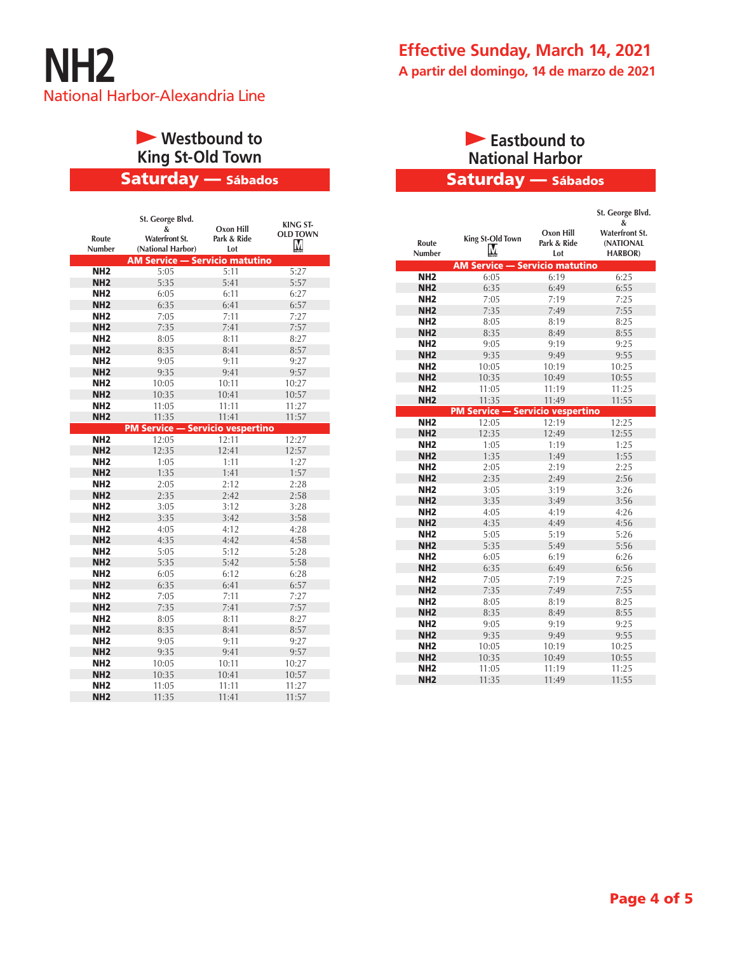

# **• Westbound to King St-Old Town**

### Saturday — Sábados

| Route<br>Number | St. George Blvd.<br>&<br><b>Waterfront St.</b><br>(National Harbor) | Oxon Hill<br>Park & Ride<br>Lot | <b>KING ST-</b><br><b>OLD TOWN</b><br>Μ |
|-----------------|---------------------------------------------------------------------|---------------------------------|-----------------------------------------|
|                 | <b>AM Service - Servicio matutino</b>                               |                                 |                                         |
| NH <sub>2</sub> | 5:05                                                                | 5:11                            | 5:27                                    |
| NH <sub>2</sub> | 5:35                                                                | 5:41                            | 5:57                                    |
| NH <sub>2</sub> | 6:05                                                                | 6:11                            | 6:27                                    |
| NH <sub>2</sub> | 6:35                                                                | 6:41                            | 6:57                                    |
| NH <sub>2</sub> | 7:05                                                                | 7:11                            | 7:27                                    |
| NH <sub>2</sub> | 7:35                                                                | 7:41                            | 7:57                                    |
| NH <sub>2</sub> | 8:05                                                                | 8:11                            | 8:27                                    |
| NH <sub>2</sub> | 8:35                                                                | 8:41                            | 8:57                                    |
| NH <sub>2</sub> | 9:05                                                                | 9:11                            | 9:27                                    |
| NH <sub>2</sub> | 9:35                                                                | 9:41                            | 9:57                                    |
| NH <sub>2</sub> | 10:05                                                               | 10:11                           | 10:27                                   |
| NH <sub>2</sub> | 10:35                                                               | 10:41                           | 10:57                                   |
| NH <sub>2</sub> | 11:05                                                               | 11:11                           | 11:27                                   |
| NH <sub>2</sub> | 11:35                                                               | 11:41                           | 11:57                                   |
|                 | <b>PM Service - Servicio vespertino</b>                             |                                 |                                         |
| NH <sub>2</sub> | 12:05                                                               | 12:11                           | 12:27                                   |
| NH <sub>2</sub> | 12:35                                                               | 12:41                           | 12:57                                   |
| NH <sub>2</sub> | 1:05                                                                | 1:11                            | 1:27                                    |
| NH <sub>2</sub> | 1:35                                                                | 1:41                            | 1:57                                    |
| NH <sub>2</sub> | 2:05                                                                | 2:12                            | 2:28                                    |
| NH <sub>2</sub> | 2:35                                                                | 2:42                            | 2:58                                    |
| NH <sub>2</sub> | 3:05                                                                | 3:12                            | 3:28                                    |
| NH <sub>2</sub> | 3:35                                                                | 3:42                            | 3:58                                    |
| NH <sub>2</sub> | 4:05                                                                | 4:12                            | 4:28                                    |
| NH <sub>2</sub> | 4:35                                                                | 4:42                            | 4:58                                    |
| NH <sub>2</sub> | 5:05                                                                | 5:12                            | 5:28                                    |
| NH <sub>2</sub> | 5:35                                                                | 5:42                            | 5:58                                    |
| NH <sub>2</sub> | 6:05                                                                | 6:12                            | 6:28                                    |
| NH <sub>2</sub> | 6:35                                                                | 6:41                            | 6:57                                    |
| NH <sub>2</sub> | 7:05                                                                | 7:11                            | 7:27                                    |
| NH <sub>2</sub> | 7:35                                                                | 7:41                            | 7:57                                    |
| NH <sub>2</sub> | 8:05                                                                | 8:11                            | 8:27                                    |
| NH <sub>2</sub> | 8:35                                                                | 8:41                            | 8:57                                    |
| NH <sub>2</sub> | 9:05                                                                | 9:11                            | 9:27                                    |
| NH <sub>2</sub> | 9:35                                                                | 9:41                            | 9:57                                    |
| NH <sub>2</sub> | 10:05                                                               | 10:11                           | 10:27                                   |
| NH <sub>2</sub> | 10:35                                                               | 10:41                           | 10:57                                   |
| NH <sub>2</sub> | 11:05                                                               | 11:11                           | 11:27                                   |
| NH <sub>2</sub> | 11:35                                                               | 11:41                           | 11:57                                   |

### Saturday — Sábados **Eastbound to National Harbor**

| x<br><b>Waterfront St.</b><br>Oxon Hill<br>King St-Old Town<br>Park & Ride<br>Route<br>(NATIONAL<br>М<br>Number<br><b>HARBOR)</b><br>Lot<br><b>AM Service - Servicio matutino</b><br>NH <sub>2</sub><br>6:19<br>6:25<br>6:05<br>NH <sub>2</sub><br>6:35<br>6:49<br>6:55<br>7:25<br>NH <sub>2</sub><br>7:05<br>7:19<br>7:55<br>NH <sub>2</sub><br>7:35<br>7:49<br>NH <sub>2</sub><br>8:25<br>8:05<br>8:19<br>NH <sub>2</sub><br>8:35<br>8:55<br>8:49<br>NH <sub>2</sub><br>9:19<br>9:05<br>9:25<br>NH <sub>2</sub><br>9:35<br>9:49<br>9:55<br>10:25<br>NH <sub>2</sub><br>10:05<br>10:19<br>NH <sub>2</sub><br>10:55<br>10:35<br>10:49<br>NH <sub>2</sub><br>11:19<br>11:25<br>11:05<br>NH <sub>2</sub><br>11:35<br>11:49<br>11:55<br><b>PM Service - Servicio vespertino</b><br>12:19<br>12:25<br>NH <sub>2</sub><br>12:05<br>NH <sub>2</sub><br>12:35<br>12:49<br>12:55<br>NH <sub>2</sub><br>1:19<br>1:25<br>1:05<br>NH <sub>2</sub><br>1:35<br>1:55<br>1:49<br>NH <sub>2</sub><br>2:25<br>2:05<br>2:19<br>NH <sub>2</sub><br>2:35<br>2:49<br>2:56<br>NH <sub>2</sub><br>3:05<br>3:19<br>3:26<br>NH <sub>2</sub><br>3:35<br>3:49<br>3:56<br>NH <sub>2</sub><br>4:05<br>4:19<br>4:26<br>NH <sub>2</sub><br>4:35<br>4:49<br>4:56<br>NH <sub>2</sub><br>5:19<br>5:05<br>5:26<br>NH <sub>2</sub><br>5:35<br>5:56<br>5:49<br>NH <sub>2</sub><br>6:05<br>6:19<br>6:26<br>NH <sub>2</sub><br>6:35<br>6:49<br>6:56<br>NH <sub>2</sub><br>7:25<br>7:05<br>7:19<br>NH <sub>2</sub><br>7:35<br>7:55<br>7:49<br>NH <sub>2</sub><br>8:19<br>8:25<br>8:05<br>NH <sub>2</sub><br>8:55<br>8:35<br>8:49<br>NH <sub>2</sub><br>9:19<br>9:25<br>9:05<br>NH <sub>2</sub><br>9:35<br>9:49<br>9:55<br>NH <sub>2</sub><br>10:25<br>10:05<br>10:19<br>NH <sub>2</sub><br>10:35<br>10:49<br>10:55<br>NH <sub>2</sub><br>11:19<br>11:25<br>11:05 |                 |       |       | St. George Blvd. |
|--------------------------------------------------------------------------------------------------------------------------------------------------------------------------------------------------------------------------------------------------------------------------------------------------------------------------------------------------------------------------------------------------------------------------------------------------------------------------------------------------------------------------------------------------------------------------------------------------------------------------------------------------------------------------------------------------------------------------------------------------------------------------------------------------------------------------------------------------------------------------------------------------------------------------------------------------------------------------------------------------------------------------------------------------------------------------------------------------------------------------------------------------------------------------------------------------------------------------------------------------------------------------------------------------------------------------------------------------------------------------------------------------------------------------------------------------------------------------------------------------------------------------------------------------------------------------------------------------------------------------------------------------------------------------------------------------------------------------------------------------------------------------------------------------------------------------|-----------------|-------|-------|------------------|
|                                                                                                                                                                                                                                                                                                                                                                                                                                                                                                                                                                                                                                                                                                                                                                                                                                                                                                                                                                                                                                                                                                                                                                                                                                                                                                                                                                                                                                                                                                                                                                                                                                                                                                                                                                                                                          |                 |       |       |                  |
|                                                                                                                                                                                                                                                                                                                                                                                                                                                                                                                                                                                                                                                                                                                                                                                                                                                                                                                                                                                                                                                                                                                                                                                                                                                                                                                                                                                                                                                                                                                                                                                                                                                                                                                                                                                                                          |                 |       |       |                  |
|                                                                                                                                                                                                                                                                                                                                                                                                                                                                                                                                                                                                                                                                                                                                                                                                                                                                                                                                                                                                                                                                                                                                                                                                                                                                                                                                                                                                                                                                                                                                                                                                                                                                                                                                                                                                                          |                 |       |       |                  |
|                                                                                                                                                                                                                                                                                                                                                                                                                                                                                                                                                                                                                                                                                                                                                                                                                                                                                                                                                                                                                                                                                                                                                                                                                                                                                                                                                                                                                                                                                                                                                                                                                                                                                                                                                                                                                          |                 |       |       |                  |
|                                                                                                                                                                                                                                                                                                                                                                                                                                                                                                                                                                                                                                                                                                                                                                                                                                                                                                                                                                                                                                                                                                                                                                                                                                                                                                                                                                                                                                                                                                                                                                                                                                                                                                                                                                                                                          |                 |       |       |                  |
|                                                                                                                                                                                                                                                                                                                                                                                                                                                                                                                                                                                                                                                                                                                                                                                                                                                                                                                                                                                                                                                                                                                                                                                                                                                                                                                                                                                                                                                                                                                                                                                                                                                                                                                                                                                                                          |                 |       |       |                  |
|                                                                                                                                                                                                                                                                                                                                                                                                                                                                                                                                                                                                                                                                                                                                                                                                                                                                                                                                                                                                                                                                                                                                                                                                                                                                                                                                                                                                                                                                                                                                                                                                                                                                                                                                                                                                                          |                 |       |       |                  |
|                                                                                                                                                                                                                                                                                                                                                                                                                                                                                                                                                                                                                                                                                                                                                                                                                                                                                                                                                                                                                                                                                                                                                                                                                                                                                                                                                                                                                                                                                                                                                                                                                                                                                                                                                                                                                          |                 |       |       |                  |
|                                                                                                                                                                                                                                                                                                                                                                                                                                                                                                                                                                                                                                                                                                                                                                                                                                                                                                                                                                                                                                                                                                                                                                                                                                                                                                                                                                                                                                                                                                                                                                                                                                                                                                                                                                                                                          |                 |       |       |                  |
|                                                                                                                                                                                                                                                                                                                                                                                                                                                                                                                                                                                                                                                                                                                                                                                                                                                                                                                                                                                                                                                                                                                                                                                                                                                                                                                                                                                                                                                                                                                                                                                                                                                                                                                                                                                                                          |                 |       |       |                  |
|                                                                                                                                                                                                                                                                                                                                                                                                                                                                                                                                                                                                                                                                                                                                                                                                                                                                                                                                                                                                                                                                                                                                                                                                                                                                                                                                                                                                                                                                                                                                                                                                                                                                                                                                                                                                                          |                 |       |       |                  |
|                                                                                                                                                                                                                                                                                                                                                                                                                                                                                                                                                                                                                                                                                                                                                                                                                                                                                                                                                                                                                                                                                                                                                                                                                                                                                                                                                                                                                                                                                                                                                                                                                                                                                                                                                                                                                          |                 |       |       |                  |
|                                                                                                                                                                                                                                                                                                                                                                                                                                                                                                                                                                                                                                                                                                                                                                                                                                                                                                                                                                                                                                                                                                                                                                                                                                                                                                                                                                                                                                                                                                                                                                                                                                                                                                                                                                                                                          |                 |       |       |                  |
|                                                                                                                                                                                                                                                                                                                                                                                                                                                                                                                                                                                                                                                                                                                                                                                                                                                                                                                                                                                                                                                                                                                                                                                                                                                                                                                                                                                                                                                                                                                                                                                                                                                                                                                                                                                                                          |                 |       |       |                  |
|                                                                                                                                                                                                                                                                                                                                                                                                                                                                                                                                                                                                                                                                                                                                                                                                                                                                                                                                                                                                                                                                                                                                                                                                                                                                                                                                                                                                                                                                                                                                                                                                                                                                                                                                                                                                                          |                 |       |       |                  |
|                                                                                                                                                                                                                                                                                                                                                                                                                                                                                                                                                                                                                                                                                                                                                                                                                                                                                                                                                                                                                                                                                                                                                                                                                                                                                                                                                                                                                                                                                                                                                                                                                                                                                                                                                                                                                          |                 |       |       |                  |
|                                                                                                                                                                                                                                                                                                                                                                                                                                                                                                                                                                                                                                                                                                                                                                                                                                                                                                                                                                                                                                                                                                                                                                                                                                                                                                                                                                                                                                                                                                                                                                                                                                                                                                                                                                                                                          |                 |       |       |                  |
|                                                                                                                                                                                                                                                                                                                                                                                                                                                                                                                                                                                                                                                                                                                                                                                                                                                                                                                                                                                                                                                                                                                                                                                                                                                                                                                                                                                                                                                                                                                                                                                                                                                                                                                                                                                                                          |                 |       |       |                  |
|                                                                                                                                                                                                                                                                                                                                                                                                                                                                                                                                                                                                                                                                                                                                                                                                                                                                                                                                                                                                                                                                                                                                                                                                                                                                                                                                                                                                                                                                                                                                                                                                                                                                                                                                                                                                                          |                 |       |       |                  |
|                                                                                                                                                                                                                                                                                                                                                                                                                                                                                                                                                                                                                                                                                                                                                                                                                                                                                                                                                                                                                                                                                                                                                                                                                                                                                                                                                                                                                                                                                                                                                                                                                                                                                                                                                                                                                          |                 |       |       |                  |
|                                                                                                                                                                                                                                                                                                                                                                                                                                                                                                                                                                                                                                                                                                                                                                                                                                                                                                                                                                                                                                                                                                                                                                                                                                                                                                                                                                                                                                                                                                                                                                                                                                                                                                                                                                                                                          |                 |       |       |                  |
|                                                                                                                                                                                                                                                                                                                                                                                                                                                                                                                                                                                                                                                                                                                                                                                                                                                                                                                                                                                                                                                                                                                                                                                                                                                                                                                                                                                                                                                                                                                                                                                                                                                                                                                                                                                                                          |                 |       |       |                  |
|                                                                                                                                                                                                                                                                                                                                                                                                                                                                                                                                                                                                                                                                                                                                                                                                                                                                                                                                                                                                                                                                                                                                                                                                                                                                                                                                                                                                                                                                                                                                                                                                                                                                                                                                                                                                                          |                 |       |       |                  |
|                                                                                                                                                                                                                                                                                                                                                                                                                                                                                                                                                                                                                                                                                                                                                                                                                                                                                                                                                                                                                                                                                                                                                                                                                                                                                                                                                                                                                                                                                                                                                                                                                                                                                                                                                                                                                          |                 |       |       |                  |
|                                                                                                                                                                                                                                                                                                                                                                                                                                                                                                                                                                                                                                                                                                                                                                                                                                                                                                                                                                                                                                                                                                                                                                                                                                                                                                                                                                                                                                                                                                                                                                                                                                                                                                                                                                                                                          |                 |       |       |                  |
|                                                                                                                                                                                                                                                                                                                                                                                                                                                                                                                                                                                                                                                                                                                                                                                                                                                                                                                                                                                                                                                                                                                                                                                                                                                                                                                                                                                                                                                                                                                                                                                                                                                                                                                                                                                                                          |                 |       |       |                  |
|                                                                                                                                                                                                                                                                                                                                                                                                                                                                                                                                                                                                                                                                                                                                                                                                                                                                                                                                                                                                                                                                                                                                                                                                                                                                                                                                                                                                                                                                                                                                                                                                                                                                                                                                                                                                                          |                 |       |       |                  |
|                                                                                                                                                                                                                                                                                                                                                                                                                                                                                                                                                                                                                                                                                                                                                                                                                                                                                                                                                                                                                                                                                                                                                                                                                                                                                                                                                                                                                                                                                                                                                                                                                                                                                                                                                                                                                          |                 |       |       |                  |
|                                                                                                                                                                                                                                                                                                                                                                                                                                                                                                                                                                                                                                                                                                                                                                                                                                                                                                                                                                                                                                                                                                                                                                                                                                                                                                                                                                                                                                                                                                                                                                                                                                                                                                                                                                                                                          |                 |       |       |                  |
|                                                                                                                                                                                                                                                                                                                                                                                                                                                                                                                                                                                                                                                                                                                                                                                                                                                                                                                                                                                                                                                                                                                                                                                                                                                                                                                                                                                                                                                                                                                                                                                                                                                                                                                                                                                                                          |                 |       |       |                  |
|                                                                                                                                                                                                                                                                                                                                                                                                                                                                                                                                                                                                                                                                                                                                                                                                                                                                                                                                                                                                                                                                                                                                                                                                                                                                                                                                                                                                                                                                                                                                                                                                                                                                                                                                                                                                                          |                 |       |       |                  |
|                                                                                                                                                                                                                                                                                                                                                                                                                                                                                                                                                                                                                                                                                                                                                                                                                                                                                                                                                                                                                                                                                                                                                                                                                                                                                                                                                                                                                                                                                                                                                                                                                                                                                                                                                                                                                          |                 |       |       |                  |
|                                                                                                                                                                                                                                                                                                                                                                                                                                                                                                                                                                                                                                                                                                                                                                                                                                                                                                                                                                                                                                                                                                                                                                                                                                                                                                                                                                                                                                                                                                                                                                                                                                                                                                                                                                                                                          |                 |       |       |                  |
|                                                                                                                                                                                                                                                                                                                                                                                                                                                                                                                                                                                                                                                                                                                                                                                                                                                                                                                                                                                                                                                                                                                                                                                                                                                                                                                                                                                                                                                                                                                                                                                                                                                                                                                                                                                                                          |                 |       |       |                  |
|                                                                                                                                                                                                                                                                                                                                                                                                                                                                                                                                                                                                                                                                                                                                                                                                                                                                                                                                                                                                                                                                                                                                                                                                                                                                                                                                                                                                                                                                                                                                                                                                                                                                                                                                                                                                                          |                 |       |       |                  |
|                                                                                                                                                                                                                                                                                                                                                                                                                                                                                                                                                                                                                                                                                                                                                                                                                                                                                                                                                                                                                                                                                                                                                                                                                                                                                                                                                                                                                                                                                                                                                                                                                                                                                                                                                                                                                          |                 |       |       |                  |
|                                                                                                                                                                                                                                                                                                                                                                                                                                                                                                                                                                                                                                                                                                                                                                                                                                                                                                                                                                                                                                                                                                                                                                                                                                                                                                                                                                                                                                                                                                                                                                                                                                                                                                                                                                                                                          |                 |       |       |                  |
|                                                                                                                                                                                                                                                                                                                                                                                                                                                                                                                                                                                                                                                                                                                                                                                                                                                                                                                                                                                                                                                                                                                                                                                                                                                                                                                                                                                                                                                                                                                                                                                                                                                                                                                                                                                                                          |                 |       |       |                  |
|                                                                                                                                                                                                                                                                                                                                                                                                                                                                                                                                                                                                                                                                                                                                                                                                                                                                                                                                                                                                                                                                                                                                                                                                                                                                                                                                                                                                                                                                                                                                                                                                                                                                                                                                                                                                                          | NH <sub>2</sub> | 11:35 | 11:49 | 11:55            |